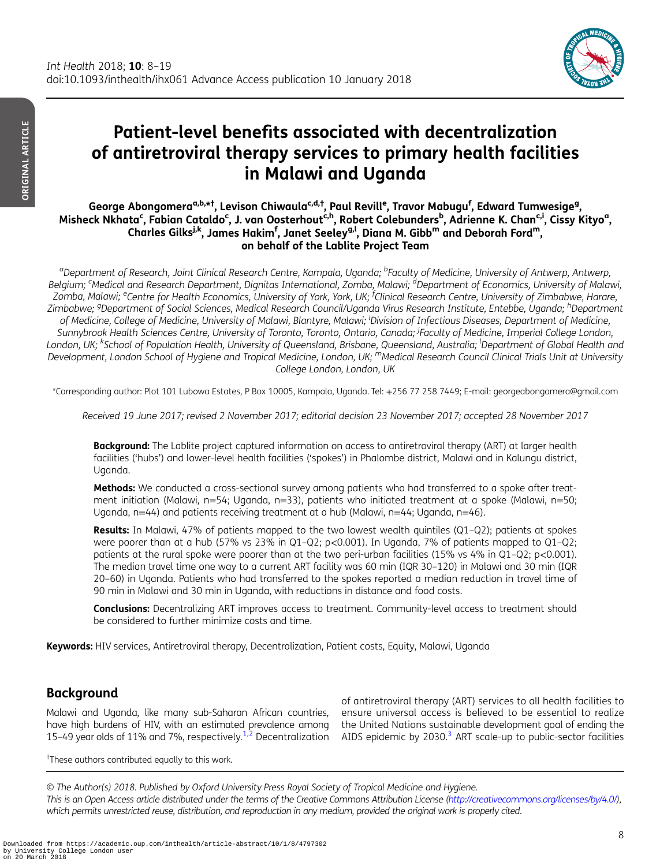

# Patient-level benefits associated with decentralization of antiretroviral therapy services to primary health facilities in Malawi and Uganda

George Abongomera<sup>a,b,\*†</sup>, Levison Chiwaula<sup>c,d,†</sup>, Paul Revill<sup>e</sup>, Travor Mabugu<sup>f</sup>, Edward Tumwesige<sup>g</sup>, Misheck Nkhata<sup>c</sup>, Fabian Cataldo<sup>c</sup>, J. van Oosterhout<sup>c,h</sup>, Robert Colebunders<sup>b</sup>, Adrienne K. Chan<sup>c,i</sup>, Cissy Kityo<sup>a</sup>, Charles Gilks<sup>j,k</sup>, James Hakim<sup>f</sup>, Janet Seeley<sup>g,l</sup>, Diana M. Gibb<sup>m</sup> and Deborah Ford<sup>m</sup>, on behalf of the Lablite Project Team

<sup>a</sup>Department of Research, Joint Clinical Research Centre, Kampala, Uganda; <sup>b</sup>Faculty of Medicine, University of Antwerp, Antwerp, Belgium; <sup>c</sup>Medical and Research Department, Dignitas International, Zomba, Malawi; <sup>d</sup>Department of Economics, University of Malawi, Zomba, Malawi; <sup>e</sup>Centre for Health Economics, University of York, York, UK; <sup>f</sup>Clinical Research Centre, University of Zimbabwe, Harare, Zimbabwe; <sup>g</sup>Department of Social Sciences, Medical Research Council/Uganda Virus Research Institute, Entebbe, Uganda; <sup>h</sup>Department of Medicine, College of Medicine, University of Malawi, Blantyre, Malawi; <sup>i</sup>Division of Infectious Diseases, Department of Medicine, Sunnybrook Health Sciences Centre, University of Toronto, Toronto, Ontario, Canada; Faculty of Medicine, Imperial College London, London, UK; <sup>k</sup>School of Population Health, University of Queensland, Brisbane, Queensland, Australia; <sup>I</sup>Department of Global Health and Development, London School of Hygiene and Tropical Medicine, London, UK; <sup>m</sup>Medical Research Council Clinical Trials Unit at University College London, London, UK

\*Corresponding author: Plot 101 Lubowa Estates, P Box 10005, Kampala, Uganda. Tel: +256 77 258 7449; E-mail: georgeabongomera@gmail.com

Received 19 June 2017; revised 2 November 2017; editorial decision 23 November 2017; accepted 28 November 2017

**Background:** The Lablite project captured information on access to antiretroviral therapy (ART) at larger health facilities ('hubs') and lower-level health facilities ('spokes') in Phalombe district, Malawi and in Kalungu district, Uganda.

Methods: We conducted a cross-sectional survey among patients who had transferred to a spoke after treatment initiation (Malawi, n=54; Uganda, n=33), patients who initiated treatment at a spoke (Malawi, n=50; Uganda, n=44) and patients receiving treatment at a hub (Malawi, n=44; Uganda, n=46).

**Results:** In Malawi, 47% of patients mapped to the two lowest wealth quintiles (Q1-Q2); patients at spokes were poorer than at a hub (57% vs 23% in Q1-Q2; p<0.001). In Uganda, 7% of patients mapped to Q1-Q2; patients at the rural spoke were poorer than at the two peri-urban facilities (15% vs 4% in Q1–Q2; p<0.001). The median travel time one way to a current ART facility was 60 min (IQR 30–120) in Malawi and 30 min (IQR 20–60) in Uganda. Patients who had transferred to the spokes reported a median reduction in travel time of 90 min in Malawi and 30 min in Uganda, with reductions in distance and food costs.

**Conclusions:** Decentralizing ART improves access to treatment. Community-level access to treatment should be considered to further minimize costs and time.

Keywords: HIV services, Antiretroviral therapy, Decentralization, Patient costs, Equity, Malawi, Uganda

# **Background**

Malawi and Uganda, like many sub-Saharan African countries, have high burdens of HIV, with an estimated prevalence among

15-49 year olds of 11% and 7%, respectively.<sup>[1,2](#page-10-0)</sup> Decentralization AIDS epidemic by 20[3](#page-10-0)0.<sup>3</sup> ART scale-up to public-sector facilities of antiretroviral therapy (ART) services to all health facilities to ensure universal access is believed to be essential to realize the United Nations sustainable development goal of ending the

† These authors contributed equally to this work.

© The Author(s) 2018. Published by Oxford University Press Royal Society of Tropical Medicine and Hygiene. This is an Open Access article distributed under the terms of the Creative Commons Attribution License ([http://creativecommons.org/licenses/by/4.0/\)](http://creativecommons.org/licenses/by/4.0/), which permits unrestricted reuse, distribution, and reproduction in any medium, provided the original work is properly cited.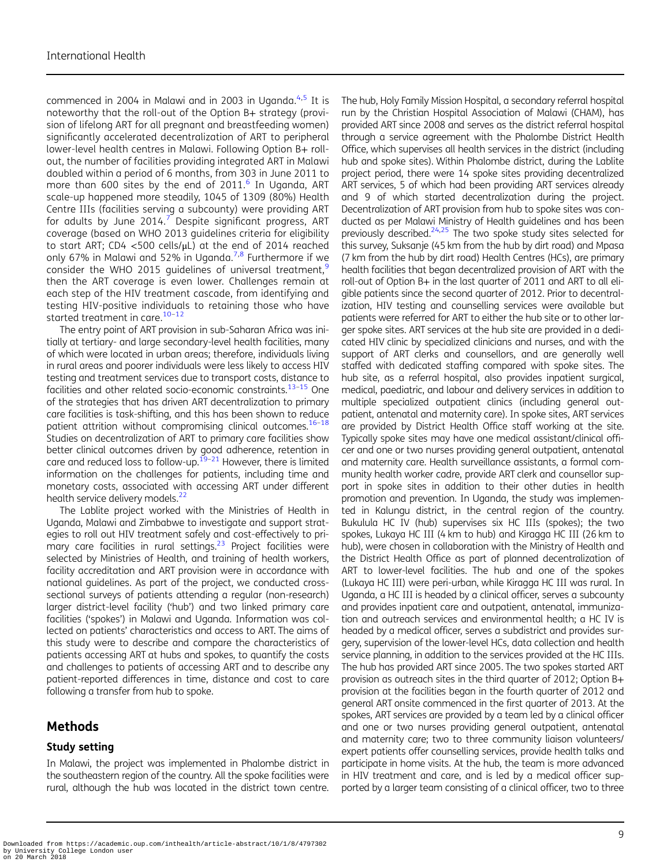commenced in 2004 in Malawi and in 2003 in Uganda. $4.5$  It is noteworthy that the roll-out of the Option B+ strategy (provision of lifelong ART for all pregnant and breastfeeding women) significantly accelerated decentralization of ART to peripheral lower-level health centres in Malawi. Following Option B+ rollout, the number of facilities providing integrated ART in Malawi doubled within a period of 6 months, from 303 in June 2011 to more than [6](#page-10-0)00 sites by the end of  $2011<sup>6</sup>$  In Uganda, ART scale-up happened more steadily, 1045 of 1309 (80%) Health Centre IIIs (facilities serving a subcounty) were providing ART for adults by June 2014.<sup>[7](#page-10-0)</sup> Despite significant progress, ART coverage (based on WHO 2013 guidelines criteria for eligibility to start ART; CD4 <500 cells/μL) at the end of 2014 reached only 6[7](#page-10-0)% in Malawi and 52% in Uganda.<sup>7,[8](#page-10-0)</sup> Furthermore if we consider the WHO 2015 quidelines of universal treatment, $9$ then the ART coverage is even lower. Challenges remain at each step of the HIV treatment cascade, from identifying and testing HIV-positive individuals to retaining those who have started treatment in care.<sup>[10](#page-10-0)-[12](#page-10-0)</sup>

The entry point of ART provision in sub-Saharan Africa was initially at tertiary- and large secondary-level health facilities, many of which were located in urban areas; therefore, individuals living in rural areas and poorer individuals were less likely to access HIV testing and treatment services due to transport costs, distance to facilities and other related socio-economic constraints. $13-15$  $13-15$  $13-15$  One of the strategies that has driven ART decentralization to primary care facilities is task-shifting, and this has been shown to reduce patient attrition without compromising clinical outcomes.<sup>[16](#page-11-0)-[18](#page-11-0)</sup> Studies on decentralization of ART to primary care facilities show better clinical outcomes driven by good adherence, retention in care and reduced loss to follow-up. $19-21$  $19-21$  However, there is limited information on the challenges for patients, including time and monetary costs, associated with accessing ART under different health service delivery models.<sup>22</sup>

The Lablite project worked with the Ministries of Health in Uganda, Malawi and Zimbabwe to investigate and support strategies to roll out HIV treatment safely and cost-effectively to primary care facilities in rural settings.<sup>23</sup> Project facilities were selected by Ministries of Health, and training of health workers, facility accreditation and ART provision were in accordance with national guidelines. As part of the project, we conducted crosssectional surveys of patients attending a regular (non-research) larger district-level facility ('hub') and two linked primary care facilities ('spokes') in Malawi and Uganda. Information was collected on patients' characteristics and access to ART. The aims of this study were to describe and compare the characteristics of patients accessing ART at hubs and spokes, to quantify the costs and challenges to patients of accessing ART and to describe any patient-reported differences in time, distance and cost to care following a transfer from hub to spoke.

# Methods

### Study setting

In Malawi, the project was implemented in Phalombe district in the southeastern region of the country. All the spoke facilities were rural, although the hub was located in the district town centre.

The hub, Holy Family Mission Hospital, a secondary referral hospital run by the Christian Hospital Association of Malawi (CHAM), has provided ART since 2008 and serves as the district referral hospital through a service agreement with the Phalombe District Health Office, which supervises all health services in the district (including hub and spoke sites). Within Phalombe district, during the Lablite project period, there were 14 spoke sites providing decentralized ART services, 5 of which had been providing ART services already and 9 of which started decentralization during the project. Decentralization of ART provision from hub to spoke sites was conducted as per Malawi Ministry of Health guidelines and has been previously described.<sup>24,25</sup> The two spoke study sites selected for this survey, Suksanje (45 km from the hub by dirt road) and Mpasa (7 km from the hub by dirt road) Health Centres (HCs), are primary health facilities that began decentralized provision of ART with the roll-out of Option B+ in the last quarter of 2011 and ART to all eligible patients since the second quarter of 2012. Prior to decentralization, HIV testing and counselling services were available but patients were referred for ART to either the hub site or to other larger spoke sites. ART services at the hub site are provided in a dedicated HIV clinic by specialized clinicians and nurses, and with the support of ART clerks and counsellors, and are generally well staffed with dedicated staffing compared with spoke sites. The hub site, as a referral hospital, also provides inpatient surgical, medical, paediatric, and labour and delivery services in addition to multiple specialized outpatient clinics (including general outpatient, antenatal and maternity care). In spoke sites, ART services are provided by District Health Office staff working at the site. Typically spoke sites may have one medical assistant/clinical officer and one or two nurses providing general outpatient, antenatal and maternity care. Health surveillance assistants, a formal community health worker cadre, provide ART clerk and counsellor support in spoke sites in addition to their other duties in health promotion and prevention. In Uganda, the study was implemented in Kalungu district, in the central region of the country. Bukulula HC IV (hub) supervises six HC IIIs (spokes); the two spokes, Lukaya HC III (4 km to hub) and Kiragga HC III (26 km to hub), were chosen in collaboration with the Ministry of Health and the District Health Office as part of planned decentralization of ART to lower-level facilities. The hub and one of the spokes (Lukaya HC III) were peri-urban, while Kiragga HC III was rural. In Uganda, a HC III is headed by a clinical officer, serves a subcounty and provides inpatient care and outpatient, antenatal, immunization and outreach services and environmental health; a HC IV is headed by a medical officer, serves a subdistrict and provides surgery, supervision of the lower-level HCs, data collection and health service planning, in addition to the services provided at the HC IIIs. The hub has provided ART since 2005. The two spokes started ART provision as outreach sites in the third quarter of 2012; Option B+ provision at the facilities began in the fourth quarter of 2012 and general ART onsite commenced in the first quarter of 2013. At the spokes, ART services are provided by a team led by a clinical officer and one or two nurses providing general outpatient, antenatal and maternity care; two to three community liaison volunteers/ expert patients offer counselling services, provide health talks and participate in home visits. At the hub, the team is more advanced in HIV treatment and care, and is led by a medical officer supported by a larger team consisting of a clinical officer, two to three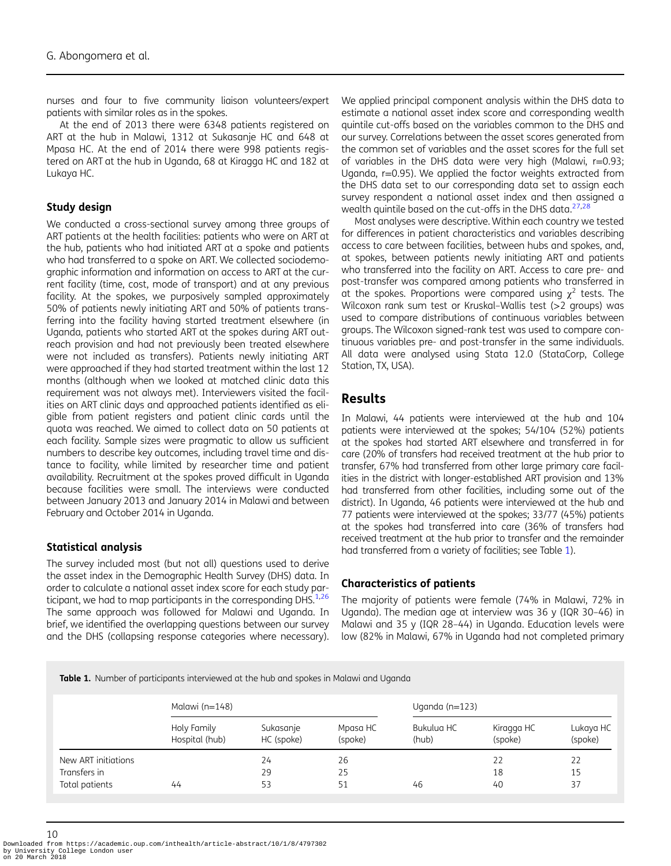nurses and four to five community liaison volunteers/expert patients with similar roles as in the spokes.

At the end of 2013 there were 6348 patients registered on ART at the hub in Malawi, 1312 at Sukasanje HC and 648 at Mpasa HC. At the end of 2014 there were 998 patients registered on ART at the hub in Uganda, 68 at Kiragga HC and 182 at Lukaya HC.

#### Study design

We conducted a cross-sectional survey among three groups of ART patients at the health facilities: patients who were on ART at the hub, patients who had initiated ART at a spoke and patients who had transferred to a spoke on ART. We collected sociodemographic information and information on access to ART at the current facility (time, cost, mode of transport) and at any previous facility. At the spokes, we purposively sampled approximately 50% of patients newly initiating ART and 50% of patients transferring into the facility having started treatment elsewhere (in Uganda, patients who started ART at the spokes during ART outreach provision and had not previously been treated elsewhere were not included as transfers). Patients newly initiating ART were approached if they had started treatment within the last 12 months (although when we looked at matched clinic data this requirement was not always met). Interviewers visited the facilities on ART clinic days and approached patients identified as eligible from patient registers and patient clinic cards until the quota was reached. We aimed to collect data on 50 patients at each facility. Sample sizes were pragmatic to allow us sufficient numbers to describe key outcomes, including travel time and distance to facility, while limited by researcher time and patient availability. Recruitment at the spokes proved difficult in Uganda because facilities were small. The interviews were conducted between January 2013 and January 2014 in Malawi and between February and October 2014 in Uganda.

#### Statistical analysis

The survey included most (but not all) questions used to derive the asset index in the Demographic Health Survey (DHS) data. In order to calculate a national asset index score for each study participant, we had to map participants in the corresponding DHS. $1,26$  $1,26$ The same approach was followed for Malawi and Uganda. In brief, we identified the overlapping questions between our survey and the DHS (collapsing response categories where necessary). We applied principal component analysis within the DHS data to estimate a national asset index score and corresponding wealth quintile cut-offs based on the variables common to the DHS and our survey. Correlations between the asset scores generated from the common set of variables and the asset scores for the full set of variables in the DHS data were very high (Malawi, r=0.93; Uganda, r=0.95). We applied the factor weights extracted from the DHS data set to our corresponding data set to assign each survey respondent a national asset index and then assigned a wealth quintile based on the cut-offs in the DHS data. $27,28$ 

Most analyses were descriptive.Within each country we tested for differences in patient characteristics and variables describing access to care between facilities, between hubs and spokes, and, at spokes, between patients newly initiating ART and patients who transferred into the facility on ART. Access to care pre- and post-transfer was compared among patients who transferred in at the spokes. Proportions were compared using  $\chi^2$  tests. The Wilcoxon rank sum test or Kruskal–Wallis test (>2 groups) was used to compare distributions of continuous variables between groups. The Wilcoxon signed-rank test was used to compare continuous variables pre- and post-transfer in the same individuals. All data were analysed using Stata 12.0 (StataCorp, College Station, TX, USA).

#### Results

In Malawi, 44 patients were interviewed at the hub and 104 patients were interviewed at the spokes; 54/104 (52%) patients at the spokes had started ART elsewhere and transferred in for care (20% of transfers had received treatment at the hub prior to transfer, 67% had transferred from other large primary care facilities in the district with longer-established ART provision and 13% had transferred from other facilities, including some out of the district). In Uganda, 46 patients were interviewed at the hub and 77 patients were interviewed at the spokes; 33/77 (45%) patients at the spokes had transferred into care (36% of transfers had received treatment at the hub prior to transfer and the remainder had transferred from a variety of facilities; see Table 1).

#### Characteristics of patients

The majority of patients were female (74% in Malawi, 72% in Uganda). The median age at interview was 36 y (IQR 30–46) in Malawi and 35 y (IQR 28–44) in Uganda. Education levels were low (82% in Malawi, 67% in Uganda had not completed primary

**Table 1.** Number of participants interviewed at the hub and spokes in Malawi and Uganda

|                     | Malawi ( $n=148$ )            |                         |                     | Uganda ( $n=123$ )  |                       |                      |  |  |
|---------------------|-------------------------------|-------------------------|---------------------|---------------------|-----------------------|----------------------|--|--|
|                     | Holy Family<br>Hospital (hub) | Sukasanje<br>HC (spoke) | Mpasa HC<br>(spoke) | Bukulua HC<br>(hub) | Kiragga HC<br>(spoke) | Lukaya HC<br>(spoke) |  |  |
| New ART initiations |                               | 24                      | 26                  |                     | 22                    | 22                   |  |  |
| Transfers in        |                               | 29                      | 25                  |                     | 18                    | 15                   |  |  |
| Total patients      | 44                            | 53                      | 51                  | 46                  | 40                    | 37                   |  |  |

Downloaded from https://academic.oup.com/inthealth/article-abstract/10/1/8/4797302 by University College London user on 20 March 2018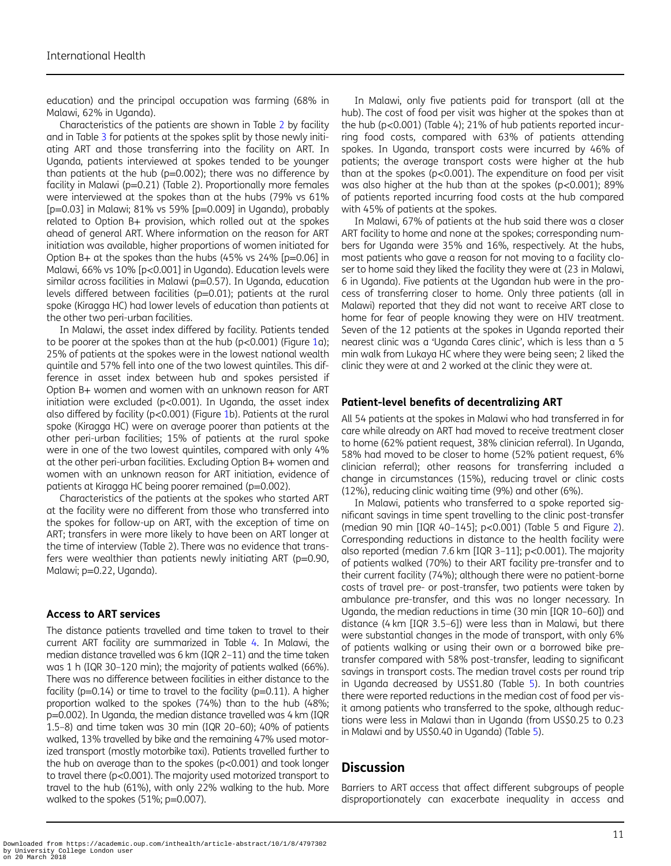education) and the principal occupation was farming (68% in Malawi, 62% in Uganda).

Characteristics of the patients are shown in Table [2](#page-4-0) by facility and in Table [3](#page-6-0) for patients at the spokes split by those newly initiating ART and those transferring into the facility on ART. In Uganda, patients interviewed at spokes tended to be younger than patients at the hub (p=0.002); there was no difference by facility in Malawi (p=0.21) (Table 2). Proportionally more females were interviewed at the spokes than at the hubs (79% vs 61% [p=0.03] in Malawi; 81% vs 59% [p=0.009] in Uganda), probably related to Option B+ provision, which rolled out at the spokes ahead of general ART. Where information on the reason for ART initiation was available, higher proportions of women initiated for Option B+ at the spokes than the hubs (45% vs 24% [p=0.06] in Malawi, 66% vs 10% [p<0.001] in Uganda). Education levels were similar across facilities in Malawi (p=0.57). In Uganda, education levels differed between facilities (p=0.01); patients at the rural spoke (Kiragga HC) had lower levels of education than patients at the other two peri-urban facilities.

In Malawi, the asset index differed by facility. Patients tended to be poorer at the spokes than at the hub ( $p < 0.001$  $p < 0.001$ ) (Figure 1a); 25% of patients at the spokes were in the lowest national wealth quintile and 57% fell into one of the two lowest quintiles. This difference in asset index between hub and spokes persisted if Option B+ women and women with an unknown reason for ART initiation were excluded (p<0.001). In Uganda, the asset index also differed by facility (p<0.001) (Figure [1](#page-7-0)b). Patients at the rural spoke (Kiragga HC) were on average poorer than patients at the other peri-urban facilities; 15% of patients at the rural spoke were in one of the two lowest quintiles, compared with only 4% at the other peri-urban facilities. Excluding Option B+ women and women with an unknown reason for ART initiation, evidence of patients at Kiragga HC being poorer remained (p=0.002).

Characteristics of the patients at the spokes who started ART at the facility were no different from those who transferred into the spokes for follow-up on ART, with the exception of time on ART; transfers in were more likely to have been on ART longer at the time of interview (Table 2). There was no evidence that transfers were wealthier than patients newly initiating ART (p=0.90, Malawi; p=0.22, Uganda).

#### Access to ART services

The distance patients travelled and time taken to travel to their current ART facility are summarized in Table [4](#page-8-0). In Malawi, the median distance travelled was 6 km (IQR 2–11) and the time taken was 1 h (IQR 30–120 min); the majority of patients walked (66%). There was no difference between facilities in either distance to the facility ( $p=0.14$ ) or time to travel to the facility ( $p=0.11$ ). A higher proportion walked to the spokes (74%) than to the hub (48%; p=0.002). In Uganda, the median distance travelled was 4 km (IQR 1.5–8) and time taken was 30 min (IQR 20–60); 40% of patients walked, 13% travelled by bike and the remaining 47% used motorized transport (mostly motorbike taxi). Patients travelled further to the hub on average than to the spokes (p<0.001) and took longer to travel there (p<0.001). The majority used motorized transport to travel to the hub (61%), with only 22% walking to the hub. More walked to the spokes (51%; p=0.007).

In Malawi, only five patients paid for transport (all at the hub). The cost of food per visit was higher at the spokes than at the hub (p<0.001) (Table 4); 21% of hub patients reported incurring food costs, compared with 63% of patients attending spokes. In Uganda, transport costs were incurred by 46% of patients; the average transport costs were higher at the hub than at the spokes (p<0.001). The expenditure on food per visit was also higher at the hub than at the spokes (p<0.001); 89% of patients reported incurring food costs at the hub compared with 45% of patients at the spokes.

In Malawi, 67% of patients at the hub said there was a closer ART facility to home and none at the spokes; corresponding numbers for Uganda were 35% and 16%, respectively. At the hubs, most patients who gave a reason for not moving to a facility closer to home said they liked the facility they were at (23 in Malawi, 6 in Uganda). Five patients at the Ugandan hub were in the process of transferring closer to home. Only three patients (all in Malawi) reported that they did not want to receive ART close to home for fear of people knowing they were on HIV treatment. Seven of the 12 patients at the spokes in Uganda reported their nearest clinic was a 'Uganda Cares clinic', which is less than a 5 min walk from Lukaya HC where they were being seen; 2 liked the clinic they were at and 2 worked at the clinic they were at.

#### Patient-level benefits of decentralizing ART

All 54 patients at the spokes in Malawi who had transferred in for care while already on ART had moved to receive treatment closer to home (62% patient request, 38% clinician referral). In Uganda, 58% had moved to be closer to home (52% patient request, 6% clinician referral); other reasons for transferring included a change in circumstances (15%), reducing travel or clinic costs (12%), reducing clinic waiting time (9%) and other (6%).

In Malawi, patients who transferred to a spoke reported significant savings in time spent travelling to the clinic post-transfer (median 90 min [IQR 40–145]; p<0.001) (Table 5 and Figure [2\)](#page-9-0). Corresponding reductions in distance to the health facility were also reported (median 7.6 km [IQR 3–11]; p<0.001). The majority of patients walked (70%) to their ART facility pre-transfer and to their current facility (74%); although there were no patient-borne costs of travel pre- or post-transfer, two patients were taken by ambulance pre-transfer, and this was no longer necessary. In Uganda, the median reductions in time (30 min [IQR 10–60]) and distance (4 km [IQR 3.5–6]) were less than in Malawi, but there were substantial changes in the mode of transport, with only 6% of patients walking or using their own or a borrowed bike pretransfer compared with 58% post-transfer, leading to significant savings in transport costs. The median travel costs per round trip in Uganda decreased by US\$1.80 (Table [5](#page-9-0)). In both countries there were reported reductions in the median cost of food per visit among patients who transferred to the spoke, although reductions were less in Malawi than in Uganda (from US\$0.25 to 0.23 in Malawi and by US\$0.40 in Uganda) (Table [5\)](#page-9-0).

# **Discussion**

Barriers to ART access that affect different subgroups of people disproportionately can exacerbate inequality in access and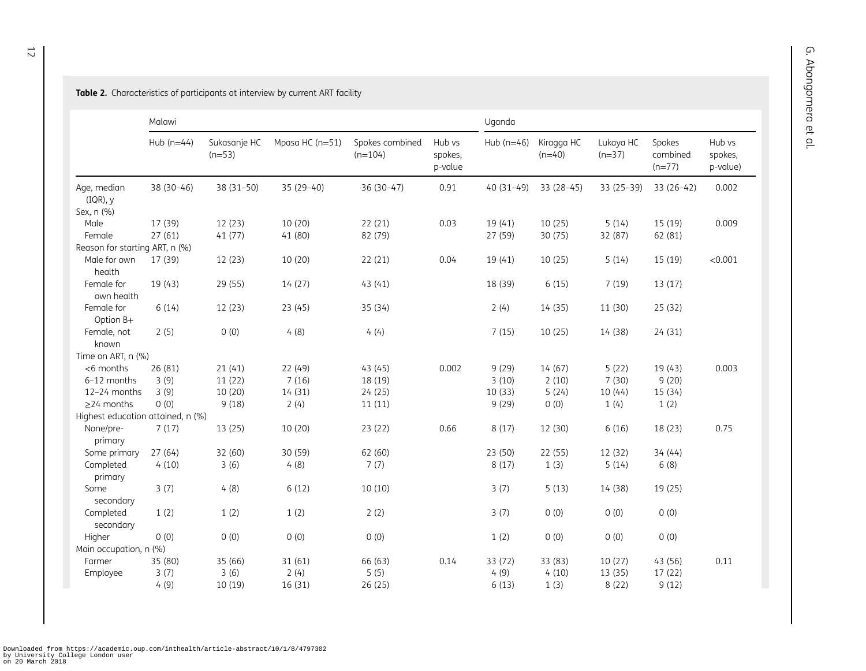<span id="page-4-0"></span>**Table 2.** Characteristics of participants at interview by current ART facility

|                                       | Malawi       |                          |                 |                              |                              | Uganda       |                        |                       |                                |                               |  |
|---------------------------------------|--------------|--------------------------|-----------------|------------------------------|------------------------------|--------------|------------------------|-----------------------|--------------------------------|-------------------------------|--|
|                                       | Hub $(n=44)$ | Sukasanje HC<br>$(n=53)$ | Mpasa HC (n=51) | Spokes combined<br>$(n=104)$ | Hub vs<br>spokes,<br>p-value | Hub $(n=46)$ | Kiragga HC<br>$(n=40)$ | Lukaya HC<br>$(n=37)$ | Spokes<br>combined<br>$(n=77)$ | Hub vs<br>spokes,<br>p-value) |  |
| Age, median<br>(IQR), y<br>Sex, n (%) | 38 (30-46)   | $38(31-50)$              | $35(29-40)$     | $36(30-47)$                  | 0.91                         | $40(31-49)$  | 33 (28–45)             | $33(25-39)$           | $33(26-42)$                    | 0.002                         |  |
| Male                                  | 17 (39)      | 12(23)                   | 10 (20)         | 22(21)                       | 0.03                         | 19(41)       | 10(25)                 | 5(14)                 | 15 (19)                        | 0.009                         |  |
| Female                                | 27(61)       | 41(77)                   | 41 (80)         | 82 (79)                      |                              | 27 (59)      | 30 (75)                | 32 (87)               | 62 (81)                        |                               |  |
| Reason for starting ART, n (%)        |              |                          |                 |                              |                              |              |                        |                       |                                |                               |  |
| Male for own<br>health                | 17 (39)      | 12 (23)                  | 10 (20)         | 22 (21)                      | 0.04                         | 19 (41)      | 10(25)                 | 5(14)                 | 15 (19)                        | < 0.001                       |  |
| Female for<br>own health              | 19 (43)      | 29 (55)                  | 14 (27)         | 43(41)                       |                              | 18 (39)      | 6(15)                  | 7(19)                 | 13(17)                         |                               |  |
| Female for<br>Option B+               | 6(14)        | 12(23)                   | 23 (45)         | 35 (34)                      |                              | 2(4)         | 14 (35)                | 11 (30)               | 25 (32)                        |                               |  |
| Female, not<br>known                  | 2(5)         | 0(0)                     | 4(8)            | 4(4)                         |                              | 7(15)        | 10(25)                 | 14 (38)               | 24(31)                         |                               |  |
| Time on ART, n (%)                    |              |                          |                 |                              |                              |              |                        |                       |                                |                               |  |
| <6 months                             | 26 (81)      | 21(41)                   | 22 (49)         | 43(45)                       | 0.002                        | 9(29)        | 14 (67)                | 5(22)                 | 19 (43)                        | 0.003                         |  |
| 6-12 months                           | 3(9)         | 11(22)                   | 7(16)           | 18 (19)                      |                              | 3(10)        | 2(10)                  | 7(30)                 | 9(20)                          |                               |  |
| 12-24 months                          | 3(9)         | 10 (20)                  | 14 (31)         | 24 (25)                      |                              | 10(33)       | 5(24)                  | 10(44)                | 15 (34)                        |                               |  |
| $\geq$ 24 months                      | 0(0)         | 9(18)                    | 2(4)            | 11(11)                       |                              | 9(29)        | 0(0)                   | 1(4)                  | 1(2)                           |                               |  |
| Highest education attained, n (%)     |              |                          |                 |                              |                              |              |                        |                       |                                |                               |  |
| None/pre-<br>primary                  | 7(17)        | 13 (25)                  | 10 (20)         | 23 (22)                      | 0.66                         | 8(17)        | 12 (30)                | 6(16)                 | 18 (23)                        | 0.75                          |  |
| Some primary                          | 27(64)       | 32 (60)                  | 30 (59)         | 62 (60)                      |                              | 23 (50)      | 22 (55)                | 12 (32)               | 34(44)                         |                               |  |
| Completed<br>primary                  | 4(10)        | 3(6)                     | 4(8)            | 7(7)                         |                              | 8(17)        | 1(3)                   | 5(14)                 | 6(8)                           |                               |  |
| Some<br>secondary                     | 3(7)         | 4(8)                     | 6(12)           | 10(10)                       |                              | 3(7)         | 5(13)                  | 14 (38)               | 19 (25)                        |                               |  |
| Completed<br>secondary                | 1(2)         | 1(2)                     | 1(2)            | 2(2)                         |                              | 3(7)         | 0(0)                   | 0(0)                  | 0(0)                           |                               |  |
| Higher                                | 0(0)         | 0(0)                     | 0(0)            | 0(0)                         |                              | 1(2)         | 0(0)                   | 0(0)                  | 0(0)                           |                               |  |
| Main occupation, n (%)                |              |                          |                 |                              |                              |              |                        |                       |                                |                               |  |
| Farmer                                | 35 (80)      | 35 (66)                  | 31 (61)         | 66 (63)                      | 0.14                         | 33 (72)      | 33 (83)                | 10(27)                | 43 (56)                        | 0.11                          |  |
| Employee                              | 3(7)         | 3(6)                     | 2(4)            | 5(5)                         |                              | 4(9)         | 4(10)                  | 13 (35)               | 17(22)                         |                               |  |
|                                       | 4(9)         | 10 (19)                  | 16 (31)         | 26 (25)                      |                              | 6(13)        | 1(3)                   | 8(22)                 | 9(12)                          |                               |  |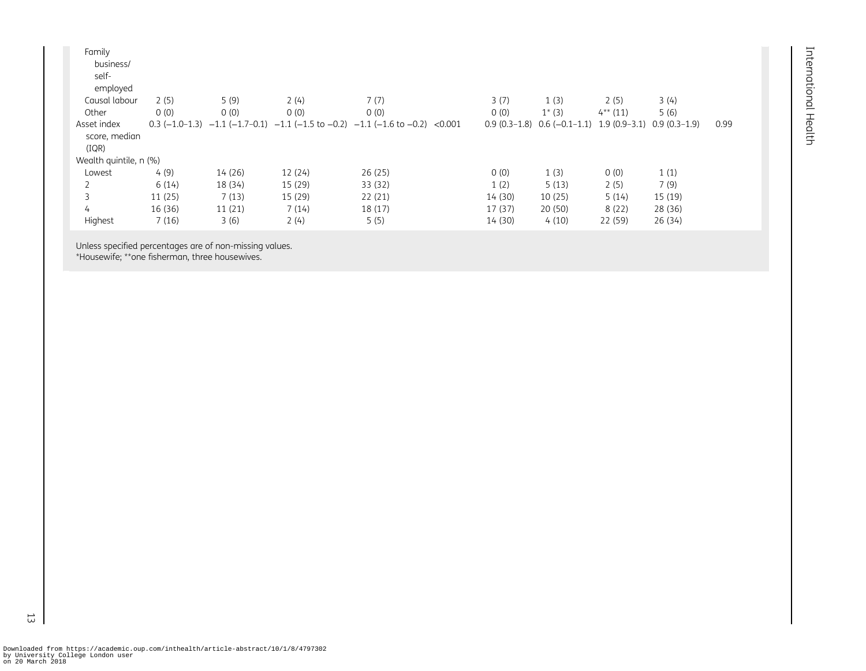| Family                 |         |         |         |                                                                                                    |         |                                                |            |                |      |
|------------------------|---------|---------|---------|----------------------------------------------------------------------------------------------------|---------|------------------------------------------------|------------|----------------|------|
| business/              |         |         |         |                                                                                                    |         |                                                |            |                |      |
| self-                  |         |         |         |                                                                                                    |         |                                                |            |                |      |
| employed               |         |         |         |                                                                                                    |         |                                                |            |                |      |
| Causal labour          | 2(5)    | 5(9)    | 2(4)    | 7(7)                                                                                               | 3(7)    | 1(3)                                           | 2(5)       | 3(4)           |      |
| Other                  | 0(0)    | 0(0)    | 0(0)    | 0(0)                                                                                               | 0(0)    | $1^*(3)$                                       | $4**$ (11) | 5(6)           |      |
| Asset index            |         |         |         | $0.3 (-1.0-1.3) -1.1 (-1.7-0.1) -1.1 (-1.5 \text{ to } -0.2) -1.1 (-1.6 \text{ to } -0.2) < 0.001$ |         | $0.9(0.3-1.8)$ $0.6(-0.1-1.1)$ 1.9 $(0.9-3.1)$ |            | $0.9(0.3-1.9)$ | 0.99 |
| score, median          |         |         |         |                                                                                                    |         |                                                |            |                |      |
| (IOR)                  |         |         |         |                                                                                                    |         |                                                |            |                |      |
| Wealth quintile, n (%) |         |         |         |                                                                                                    |         |                                                |            |                |      |
| Lowest                 | 4(9)    | 14 (26) | 12(24)  | 26(25)                                                                                             | 0(0)    | 1(3)                                           | 0(0)       | 1(1)           |      |
|                        | 6(14)   | 18 (34) | 15 (29) | 33 (32)                                                                                            | 1(2)    | 5(13)                                          | 2(5)       | 7(9)           |      |
| 3                      | 11(25)  | 7(13)   | 15 (29) | 22(21)                                                                                             | 14(30)  | 10(25)                                         | 5(14)      | 15 (19)        |      |
| 4                      | 16 (36) | 11(21)  | 7(14)   | 18(17)                                                                                             | 17(37)  | 20(50)                                         | 8(22)      | 28 (36)        |      |
| Highest                | 7(16)   | 3(6)    | 2(4)    | 5(5)                                                                                               | 14 (30) | 4(10)                                          | 22 (59)    | 26 (34)        |      |

Unless specified percentages are of non-missing values.

\*Housewife; \*\*one fisherman, three housewives.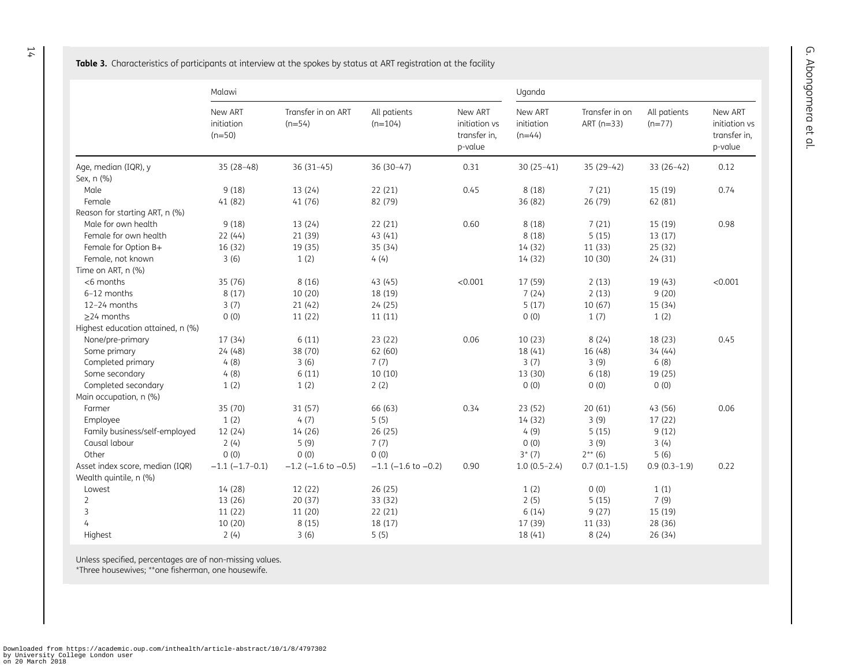<span id="page-6-0"></span>**Table 3.** Characteristics of participants at interview at the spokes by status at ART registration at the facility

|                                   | Malawi                            |                                | Uganda                    |                                                     |                                   |                                |                          |                                                     |
|-----------------------------------|-----------------------------------|--------------------------------|---------------------------|-----------------------------------------------------|-----------------------------------|--------------------------------|--------------------------|-----------------------------------------------------|
|                                   | New ART<br>initiation<br>$(n=50)$ | Transfer in on ART<br>$(n=54)$ | All patients<br>$(n=104)$ | New ART<br>initiation vs<br>transfer in,<br>p-value | New ART<br>initiation<br>$(n=44)$ | Transfer in on<br>ART $(n=33)$ | All patients<br>$(n=77)$ | New ART<br>initiation vs<br>transfer in,<br>p-value |
| Age, median (IQR), y              | $35(28-48)$                       | $36(31-45)$                    | $36(30-47)$               | 0.31                                                | $30(25-41)$                       | $35(29-42)$                    | $33(26-42)$              | 0.12                                                |
| Sex, n (%)                        |                                   |                                |                           |                                                     |                                   |                                |                          |                                                     |
| Male                              | 9(18)                             | 13 (24)                        | 22(21)                    | 0.45                                                | 8(18)                             | 7(21)                          | 15 (19)                  | 0.74                                                |
| Female                            | 41 (82)                           | 41 (76)                        | 82 (79)                   |                                                     | 36 (82)                           | 26 (79)                        | 62 (81)                  |                                                     |
| Reason for starting ART, n (%)    |                                   |                                |                           |                                                     |                                   |                                |                          |                                                     |
| Male for own health               | 9(18)                             | 13(24)                         | 22(21)                    | 0.60                                                | 8(18)                             | 7(21)                          | 15 (19)                  | 0.98                                                |
| Female for own health             | 22(44)                            | 21 (39)                        | 43(41)                    |                                                     | 8(18)                             | 5(15)                          | 13 (17)                  |                                                     |
| Female for Option B+              | 16 (32)                           | 19 (35)                        | 35 (34)                   |                                                     | 14(32)                            | 11(33)                         | 25(32)                   |                                                     |
| Female, not known                 | 3(6)                              | 1(2)                           | 4(4)                      |                                                     | 14(32)                            | 10 (30)                        | 24(31)                   |                                                     |
| Time on ART, n (%)                |                                   |                                |                           |                                                     |                                   |                                |                          |                                                     |
| $<$ 6 months                      | 35 (76)                           | 8(16)                          | 43(45)                    | < 0.001                                             | 17 (59)                           | 2(13)                          | 19 (43)                  | < 0.001                                             |
| 6-12 months                       | 8(17)                             | 10 (20)                        | 18 (19)                   |                                                     | 7(24)                             | 2(13)                          | 9(20)                    |                                                     |
| 12-24 months                      | 3(7)                              | 21(42)                         | 24(25)                    |                                                     | 5(17)                             | 10(67)                         | 15(34)                   |                                                     |
| >24 months                        | 0(0)                              | 11(22)                         | 11(11)                    |                                                     | 0(0)                              | 1(7)                           | 1(2)                     |                                                     |
| Highest education attained, n (%) |                                   |                                |                           |                                                     |                                   |                                |                          |                                                     |
| None/pre-primary                  | 17(34)                            | 6(11)                          | 23(22)                    | 0.06                                                | 10(23)                            | 8(24)                          | 18 (23)                  | 0.45                                                |
| Some primary                      | 24(48)                            | 38 (70)                        | 62 (60)                   |                                                     | 18 (41)                           | 16 (48)                        | 34(44)                   |                                                     |
| Completed primary                 | 4(8)                              | 3(6)                           | 7(7)                      |                                                     | 3(7)                              | 3(9)                           | 6(8)                     |                                                     |
| Some secondary                    | 4(8)                              | 6(11)                          | 10(10)                    |                                                     | 13 (30)                           | 6(18)                          | 19 (25)                  |                                                     |
| Completed secondary               | 1(2)                              | 1(2)                           | 2(2)                      |                                                     | 0(0)                              | 0(0)                           | 0(0)                     |                                                     |
| Main occupation, n (%)            |                                   |                                |                           |                                                     |                                   |                                |                          |                                                     |
| Farmer                            | 35 (70)                           | 31 (57)                        | 66 (63)                   | 0.34                                                | 23 (52)                           | 20(61)                         | 43 (56)                  | 0.06                                                |
| Employee                          | 1(2)                              | 4(7)                           | 5(5)                      |                                                     | 14 (32)                           | 3(9)                           | 17 (22)                  |                                                     |
| Family business/self-employed     | 12 (24)                           | 14 (26)                        | 26 (25)                   |                                                     | 4(9)                              | 5(15)                          | 9(12)                    |                                                     |
| Causal labour                     | 2(4)                              | 5(9)                           | 7(7)                      |                                                     | 0(0)                              | 3(9)                           | 3(4)                     |                                                     |
| Other                             | 0(0)                              | 0(0)                           | 0(0)                      |                                                     | $3*(7)$                           | $2^{**}$ (6)                   | 5(6)                     |                                                     |
| Asset index score, median (IQR)   | $-1.1$ $(-1.7-0.1)$               | $-1.2$ ( $-1.6$ to $-0.5$ )    | $-1.1$ (-1.6 to $-0.2$ )  | 0.90                                                | $1.0(0.5-2.4)$                    | $0.7(0.1-1.5)$                 | $0.9(0.3-1.9)$           | 0.22                                                |
| Wealth quintile, n (%)            |                                   |                                |                           |                                                     |                                   |                                |                          |                                                     |
| Lowest                            | 14 (28)                           | 12 (22)                        | 26(25)                    |                                                     | 1(2)                              | 0(0)                           | 1(1)                     |                                                     |
| $\overline{2}$                    | 13 (26)                           | 20 (37)                        | 33 (32)                   |                                                     | 2(5)                              | 5(15)                          | 7(9)                     |                                                     |
| 3                                 | 11(22)                            | 11 (20)                        | 22(21)                    |                                                     | 6(14)                             | 9(27)                          | 15 (19)                  |                                                     |
| 4                                 | 10 (20)                           | 8(15)                          | 18 (17)                   |                                                     | 17 (39)                           | 11(33)                         | 28 (36)                  |                                                     |
| Highest                           | 2(4)                              | 3(6)                           | 5(5)                      |                                                     | 18 (41)                           | 8(24)                          | 26 (34)                  |                                                     |

Unless specified, percentages are of non-missing values.

\*Three housewives; \*\*one fisherman, one housewife.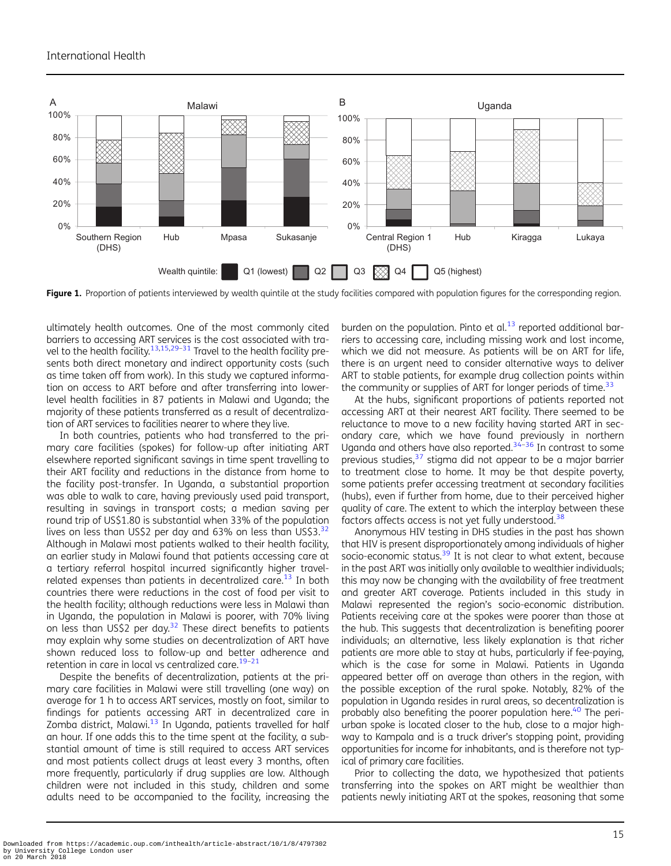<span id="page-7-0"></span>

Figure 1. Proportion of patients interviewed by wealth quintile at the study facilities compared with population figures for the corresponding region.

ultimately health outcomes. One of the most commonly cited barriers to accessing ART services is the cost associated with tra-vel to the health facility.<sup>[13,15](#page-11-0),[29](#page-11-0)-[31](#page-11-0)</sup> Travel to the health facility presents both direct monetary and indirect opportunity costs (such as time taken off from work). In this study we captured information on access to ART before and after transferring into lowerlevel health facilities in 87 patients in Malawi and Uganda; the majority of these patients transferred as a result of decentralization of ART services to facilities nearer to where they live.

In both countries, patients who had transferred to the primary care facilities (spokes) for follow-up after initiating ART elsewhere reported significant savings in time spent travelling to their ART facility and reductions in the distance from home to the facility post-transfer. In Uganda, a substantial proportion was able to walk to care, having previously used paid transport, resulting in savings in transport costs; a median saving per round trip of US\$1.80 is substantial when 33% of the population lives on less than US\$2 per day and 63% on less than US\$3. $32$ Although in Malawi most patients walked to their health facility, an earlier study in Malawi found that patients accessing care at a tertiary referral hospital incurred significantly higher travelrelated expenses than patients in decentralized care.<sup>13</sup> In both countries there were reductions in the cost of food per visit to the health facility; although reductions were less in Malawi than in Uganda, the population in Malawi is poorer, with 70% living on less than US\$2 per day.<sup>[32](#page-11-0)</sup> These direct benefits to patients may explain why some studies on decentralization of ART have shown reduced loss to follow-up and better adherence and retention in care in local vs centralized care.<sup>19-[21](#page-11-0)</sup>

Despite the benefits of decentralization, patients at the primary care facilities in Malawi were still travelling (one way) on average for 1 h to access ART services, mostly on foot, similar to findings for patients accessing ART in decentralized care in Zomba district, Malawi.<sup>[13](#page-11-0)</sup> In Uganda, patients travelled for half an hour. If one adds this to the time spent at the facility, a substantial amount of time is still required to access ART services and most patients collect drugs at least every 3 months, often more frequently, particularly if drug supplies are low. Although children were not included in this study, children and some adults need to be accompanied to the facility, increasing the

burden on the population. Pinto et  $al.13$  $al.13$  reported additional barriers to accessing care, including missing work and lost income, which we did not measure. As patients will be on ART for life, there is an urgent need to consider alternative ways to deliver ART to stable patients, for example drug collection points within the community or supplies of ART for longer periods of time. $33$ 

At the hubs, significant proportions of patients reported not accessing ART at their nearest ART facility. There seemed to be reluctance to move to a new facility having started ART in secondary care, which we have found previously in northern Uganda and others have also reported. $34-36$  $34-36$  $34-36$  In contrast to some previous studies,<sup>[37](#page-11-0)</sup> stigma did not appear to be a major barrier to treatment close to home. It may be that despite poverty, some patients prefer accessing treatment at secondary facilities (hubs), even if further from home, due to their perceived higher quality of care. The extent to which the interplay between these factors affects access is not yet fully understood. $38$ 

Anonymous HIV testing in DHS studies in the past has shown that HIV is present disproportionately among individuals of higher socio-economic status. $39$  It is not clear to what extent, because in the past ART was initially only available to wealthier individuals; this may now be changing with the availability of free treatment and greater ART coverage. Patients included in this study in Malawi represented the region's socio-economic distribution. Patients receiving care at the spokes were poorer than those at the hub. This suggests that decentralization is benefiting poorer individuals; an alternative, less likely explanation is that richer patients are more able to stay at hubs, particularly if fee-paying, which is the case for some in Malawi. Patients in Uganda appeared better off on average than others in the region, with the possible exception of the rural spoke. Notably, 82% of the population in Uganda resides in rural areas, so decentralization is probably also benefiting the poorer population here.<sup>[40](#page-11-0)</sup> The periurban spoke is located closer to the hub, close to a major highway to Kampala and is a truck driver's stopping point, providing opportunities for income for inhabitants, and is therefore not typical of primary care facilities.

Prior to collecting the data, we hypothesized that patients transferring into the spokes on ART might be wealthier than patients newly initiating ART at the spokes, reasoning that some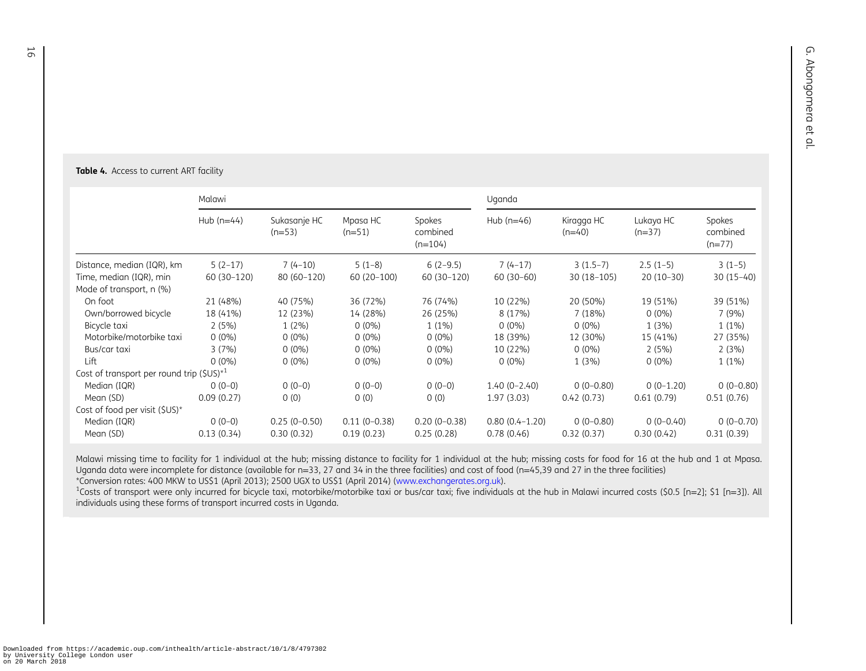#### <span id="page-8-0"></span>Table 4. Access to current ART facility

|                                               | Malawi       |                          |                      |                                 | Uganda             |                        |                       |                                |  |
|-----------------------------------------------|--------------|--------------------------|----------------------|---------------------------------|--------------------|------------------------|-----------------------|--------------------------------|--|
|                                               | Hub $(n=44)$ | Sukasanje HC<br>$(n=53)$ | Mpasa HC<br>$(n=51)$ | Spokes<br>combined<br>$(n=104)$ | Hub $(n=46)$       | Kiragga HC<br>$(n=40)$ | Lukaya HC<br>$(n=37)$ | Spokes<br>combined<br>$(n=77)$ |  |
| Distance, median (IQR), km                    | $5(2-17)$    | $7(4-10)$                | $5(1-8)$             | $6(2-9.5)$                      | $7(4-17)$          | $3(1.5-7)$             | $2.5(1-5)$            | $3(1-5)$                       |  |
| Time, median (IQR), min                       | 60 (30-120)  | 80 (60-120)              | 60 (20-100)          | 60 (30-120)                     | $60(30-60)$        | 30 (18-105)            | $20(10-30)$           | $30(15-40)$                    |  |
| Mode of transport, n (%)                      |              |                          |                      |                                 |                    |                        |                       |                                |  |
| On foot                                       | 21 (48%)     | 40 (75%)                 | 36 (72%)             | 76 (74%)                        | 10 (22%)           | 20 (50%)               | 19 (51%)              | 39 (51%)                       |  |
| Own/borrowed bicycle                          | 18 (41%)     | 12 (23%)                 | 14 (28%)             | 26 (25%)                        | 8 (17%)            | 7(18%)                 | $0(0\%)$              | 7(9%)                          |  |
| Bicycle taxi                                  | 2(5%)        | $1(2\%)$                 | $0(0\%)$             | $1(1\%)$                        | $0(0\%)$           | $0(0\%)$               | 1(3%)                 | $1(1\%)$                       |  |
| Motorbike/motorbike taxi                      | $0(0\%)$     | $0(0\%)$                 | $0(0\%)$             | $0(0\%)$                        | 18 (39%)           | 12 (30%)               | 15 (41%)              | 27 (35%)                       |  |
| Bus/car taxi                                  | 3(7%)        | $0(0\%)$                 | $0(0\%)$             | $0(0\%)$                        | 10 (22%)           | $0(0\%)$               | 2(5%)                 | 2(3%)                          |  |
| Lift                                          | $0(0\%)$     | $0(0\%)$                 | $0(0\%)$             | $0(0\%)$                        | $0(0\%)$           | 1(3%)                  | $0(0\%)$              | $1(1\%)$                       |  |
| Cost of transport per round trip $(SUS)^{*1}$ |              |                          |                      |                                 |                    |                        |                       |                                |  |
| Median (IQR)                                  | $0(0-0)$     | $0(0-0)$                 | $0(0-0)$             | $0(0-0)$                        | $1.40(0 - 2.40)$   | $0(0-0.80)$            | $0(0-1.20)$           | $0(0-0.80)$                    |  |
| Mean (SD)                                     | 0.09(0.27)   | 0(0)                     | 0(0)                 | 0(0)                            | 1.97(3.03)         | 0.42(0.73)             | 0.61(0.79)            | 0.51(0.76)                     |  |
| Cost of food per visit $(SUS)^*$              |              |                          |                      |                                 |                    |                        |                       |                                |  |
| Median (IQR)                                  | $0(0-0)$     | $0.25(0-0.50)$           | $0.11(0-0.38)$       | $0.20(0-0.38)$                  | $0.80(0.4 - 1.20)$ | $0(0-0.80)$            | $0(0-0.40)$           | $0(0-0.70)$                    |  |
| Mean (SD)                                     | 0.13(0.34)   | 0.30(0.32)               | 0.19(0.23)           | 0.25(0.28)                      | 0.78(0.46)         | 0.32(0.37)             | 0.30(0.42)            | 0.31(0.39)                     |  |

Malawi missing time to facility for 1 individual at the hub; missing distance to facility for 1 individual at the hub; missing costs for food for 16 at the hub and 1 at Mpasa. Uganda data were incomplete for distance (available for n=33, 27 and 34 in the three facilities) and cost of food (n=45,39 and 27 in the three facilities)

\*Conversion rates: <sup>400</sup> MKW to US\$1 (April 2013); <sup>2500</sup> UGX to US\$1 (April 2014) ([www.exchangerates.org.uk](https://www.exchangerates.org.uk/)).

<sup>1</sup>Costs of transport were only incurred for bicycle taxi, motorbike/motorbike taxi or bus/car taxi; five individuals at the hub in Malawi incurred costs (\$0.5 [n=2]; \$1 [n=3]). All individuals using these forms of transport incurred costs in Uganda.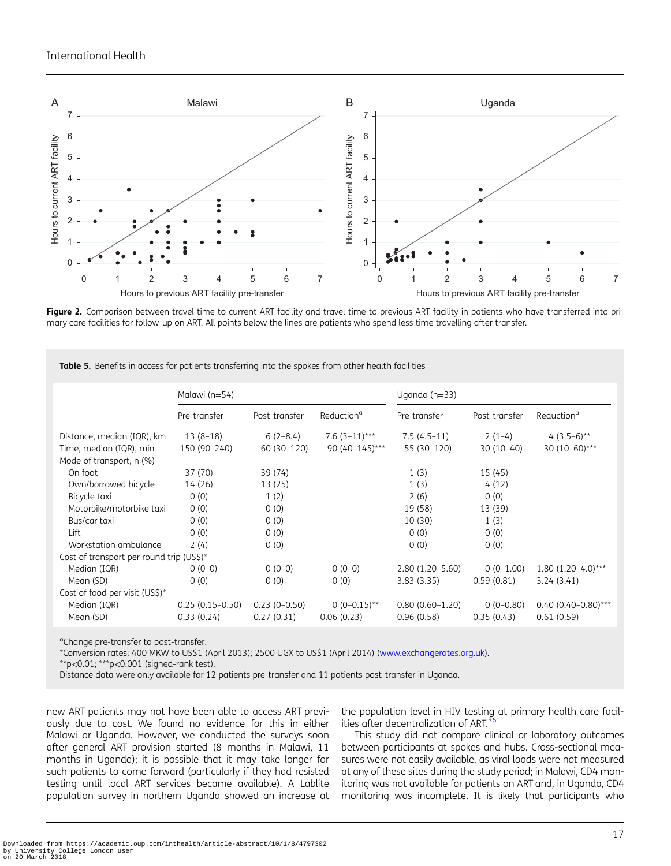<span id="page-9-0"></span>

Figure 2. Comparison between travel time to current ART facility and travel time to previous ART facility in patients who have transferred into primary care facilities for follow-up on ART. All points below the lines are patients who spend less time travelling after transfer.

|                                          | Malawi (n=54)     |                |                        | Uganda $(n=33)$     |               |                           |  |
|------------------------------------------|-------------------|----------------|------------------------|---------------------|---------------|---------------------------|--|
|                                          | Pre-transfer      | Post-transfer  | Reduction <sup>a</sup> | Pre-transfer        | Post-transfer | Reduction <sup>a</sup>    |  |
| Distance, median (IQR), km               | $13(8-18)$        | $6(2-8.4)$     | $7.6(3-11)***$         | $7.5(4.5-11)$       | $2(1-4)$      | 4 $(3.5-6)$ <sup>**</sup> |  |
| Time, median (IQR), min                  | 150 (90-240)      | 60 (30-120)    | 90 (40-145)***         | 55 (30-120)         | $30(10-40)$   | 30 (10-60)***             |  |
| Mode of transport, n (%)                 |                   |                |                        |                     |               |                           |  |
| On foot                                  | 37 (70)           | 39 (74)        |                        | 1(3)                | 15(45)        |                           |  |
| Own/borrowed bicycle                     | 14 (26)           | 13 (25)        |                        | 1(3)                | 4(12)         |                           |  |
| Bicycle taxi                             | 0(0)              | 1(2)           |                        | 2(6)                | 0(0)          |                           |  |
| Motorbike/motorbike taxi                 | 0(0)              | 0(0)           |                        | 19 (58)             | 13 (39)       |                           |  |
| Bus/car taxi                             | 0(0)              | 0(0)           |                        | 10 (30)             | 1(3)          |                           |  |
| Lift                                     | 0(0)              | 0(0)           |                        | 0(0)                | 0(0)          |                           |  |
| Workstation ambulance                    | 2(4)              | 0(0)           |                        | 0(0)                | 0(0)          |                           |  |
| Cost of transport per round trip (US\$)* |                   |                |                        |                     |               |                           |  |
| Median (IQR)                             | $0(0-0)$          | $0(0-0)$       | $0(0-0)$               | $2.80(1.20 - 5.60)$ | $0(0-1.00)$   | $1.80(1.20-4.0)$ ***      |  |
| Mean (SD)                                | 0(0)              | 0(0)           | 0(0)                   | 3.83(3.35)          | 0.59(0.81)    | 3.24(3.41)                |  |
| Cost of food per visit (US\$)*           |                   |                |                        |                     |               |                           |  |
| Median (IQR)                             | $0.25(0.15-0.50)$ | $0.23(0-0.50)$ | $0(0-0.15)$ **         | $0.80(0.60-1.20)$   | $0(0-0.80)$   | $0.40(0.40-0.80)$ ***     |  |
| Mean (SD)                                | 0.33(0.24)        | 0.27(0.31)     | 0.06(0.23)             | 0.96(0.58)          | 0.35(0.43)    | 0.61(0.59)                |  |

Table 5. Benefits in access for patients transferring into the spokes from other health facilities

<sup>a</sup>Change pre-transfer to post-transfer.

\*Conversion rates: 400 MKW to US\$1 (April 2013); 2500 UGX to US\$1 (April 2014) (<www.exchangerates.org.uk>).

 $*$ p<0.01;  $**p$ <0.001 (signed-rank test).

Distance data were only available for 12 patients pre-transfer and 11 patients post-transfer in Uganda.

new ART patients may not have been able to access ART previously due to cost. We found no evidence for this in either Malawi or Uganda. However, we conducted the surveys soon after general ART provision started (8 months in Malawi, 11 months in Uganda); it is possible that it may take longer for such patients to come forward (particularly if they had resisted testing until local ART services became available). A Lablite population survey in northern Uganda showed an increase at

the population level in HIV testing at primary health care facilities after decentralization of ART. $36$ 

This study did not compare clinical or laboratory outcomes between participants at spokes and hubs. Cross-sectional measures were not easily available, as viral loads were not measured at any of these sites during the study period; in Malawi, CD4 monitoring was not available for patients on ART and, in Uganda, CD4 monitoring was incomplete. It is likely that participants who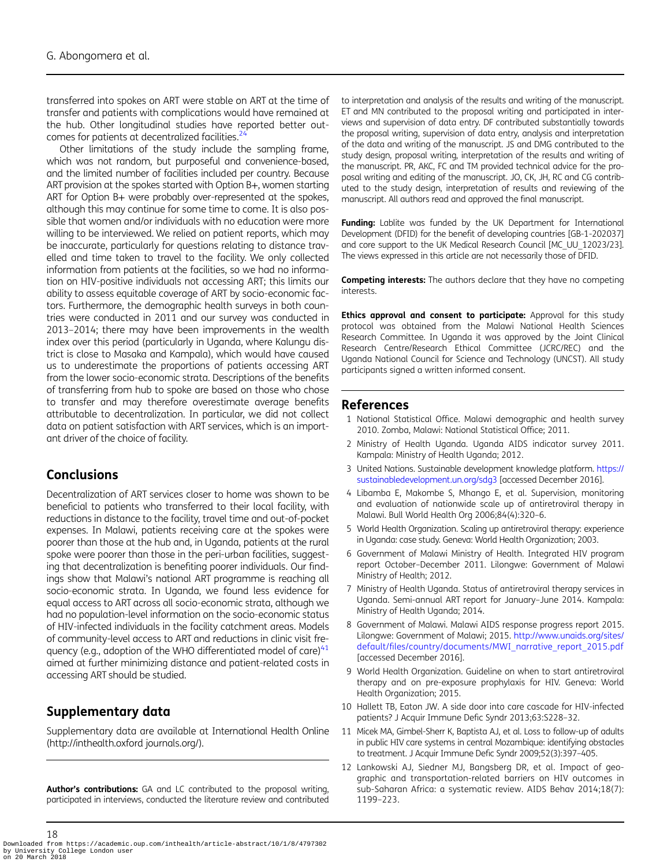<span id="page-10-0"></span>transferred into spokes on ART were stable on ART at the time of transfer and patients with complications would have remained at the hub. Other longitudinal studies have reported better outcomes for patients at decentralized facilities. $2^2$ 

Other limitations of the study include the sampling frame, which was not random, but purposeful and convenience-based, and the limited number of facilities included per country. Because ART provision at the spokes started with Option B+, women starting ART for Option B+ were probably over-represented at the spokes, although this may continue for some time to come. It is also possible that women and/or individuals with no education were more willing to be interviewed. We relied on patient reports, which may be inaccurate, particularly for questions relating to distance travelled and time taken to travel to the facility. We only collected information from patients at the facilities, so we had no information on HIV-positive individuals not accessing ART; this limits our ability to assess equitable coverage of ART by socio-economic factors. Furthermore, the demographic health surveys in both countries were conducted in 2011 and our survey was conducted in 2013–2014; there may have been improvements in the wealth index over this period (particularly in Uganda, where Kalungu district is close to Masaka and Kampala), which would have caused us to underestimate the proportions of patients accessing ART from the lower socio-economic strata. Descriptions of the benefits of transferring from hub to spoke are based on those who chose to transfer and may therefore overestimate average benefits attributable to decentralization. In particular, we did not collect data on patient satisfaction with ART services, which is an important driver of the choice of facility.

### **Conclusions**

Decentralization of ART services closer to home was shown to be beneficial to patients who transferred to their local facility, with reductions in distance to the facility, travel time and out-of-pocket expenses. In Malawi, patients receiving care at the spokes were poorer than those at the hub and, in Uganda, patients at the rural spoke were poorer than those in the peri-urban facilities, suggesting that decentralization is benefiting poorer individuals. Our findings show that Malawi's national ART programme is reaching all socio-economic strata. In Uganda, we found less evidence for equal access to ART across all socio-economic strata, although we had no population-level information on the socio-economic status of HIV-infected individuals in the facility catchment areas. Models of community-level access to ART and reductions in clinic visit frequency (e.g., adoption of the WHO differentiated model of care) $41$ aimed at further minimizing distance and patient-related costs in accessing ART should be studied.

# Supplementary data

Supplementary data are available at International Health Online (http://inthealth.oxford journals.org/).

Author's contributions: GA and LC contributed to the proposal writing, participated in interviews, conducted the literature review and contributed

to interpretation and analysis of the results and writing of the manuscript. ET and MN contributed to the proposal writing and participated in interviews and supervision of data entry. DF contributed substantially towards the proposal writing, supervision of data entry, analysis and interpretation of the data and writing of the manuscript. JS and DMG contributed to the study design, proposal writing, interpretation of the results and writing of the manuscript. PR, AKC, FC and TM provided technical advice for the proposal writing and editing of the manuscript. JO, CK, JH, RC and CG contributed to the study design, interpretation of results and reviewing of the manuscript. All authors read and approved the final manuscript.

Funding: Lablite was funded by the UK Department for International Development (DFID) for the benefit of developing countries [GB-1-202037] and core support to the UK Medical Research Council [MC\_UU\_12023/23]. The views expressed in this article are not necessarily those of DFID.

Competing interests: The authors declare that they have no competing interests.

Ethics approval and consent to participate: Approval for this study protocol was obtained from the Malawi National Health Sciences Research Committee. In Uganda it was approved by the Joint Clinical Research Centre/Research Ethical Committee (JCRC/REC) and the Uganda National Council for Science and Technology (UNCST). All study participants signed a written informed consent.

#### References

- 1 National Statistical Office. Malawi demographic and health survey 2010. Zomba, Malawi: National Statistical Office; 2011.
- 2 Ministry of Health Uganda. Uganda AIDS indicator survey 2011. Kampala: Ministry of Health Uganda; 2012.
- 3 United Nations. Sustainable development knowledge platform. [https://](https://sustainabledevelopment.un.org/sdg3) [sustainabledevelopment.un.org/sdg3](https://sustainabledevelopment.un.org/sdg3) [accessed December 2016].
- 4 Libamba E, Makombe S, Mhango E, et al. Supervision, monitoring and evaluation of nationwide scale up of antiretroviral therapy in Malawi. Bull World Health Org 2006;84(4):320–6.
- 5 World Health Organization. Scaling up antiretroviral therapy: experience in Uganda: case study. Geneva: World Health Organization; 2003.
- 6 Government of Malawi Ministry of Health. Integrated HIV program report October–December 2011. Lilongwe: Government of Malawi Ministry of Health; 2012.
- 7 Ministry of Health Uganda. Status of antiretroviral therapy services in Uganda. Semi-annual ART report for January–June 2014. Kampala: Ministry of Health Uganda; 2014.
- 8 Government of Malawi. Malawi AIDS response progress report 2015. Lilongwe: Government of Malawi; 2015. [http://www.unaids.org/sites/](http://www.unaids.org/sites/default/files/country/documents/MWI_narrative_report_2015.pdf) default/fi[les/country/documents/MWI\\_narrative\\_report\\_2015.pdf](http://www.unaids.org/sites/default/files/country/documents/MWI_narrative_report_2015.pdf) [accessed December 2016].
- 9 World Health Organization. Guideline on when to start antiretroviral therapy and on pre-exposure prophylaxis for HIV. Geneva: World Health Organization; 2015.
- 10 Hallett TB, Eaton JW. A side door into care cascade for HIV-infected patients? J Acquir Immune Defic Syndr 2013;63:S228–32.
- 11 Micek MA, Gimbel-Sherr K, Baptista AJ, et al. Loss to follow-up of adults in public HIV care systems in central Mozambique: identifying obstacles to treatment. J Acquir Immune Defic Syndr 2009;52(3):397–405.
- 12 Lankowski AJ, Siedner MJ, Bangsberg DR, et al. Impact of geographic and transportation-related barriers on HIV outcomes in sub-Saharan Africa: a systematic review. AIDS Behav 2014;18(7): 1199–223.